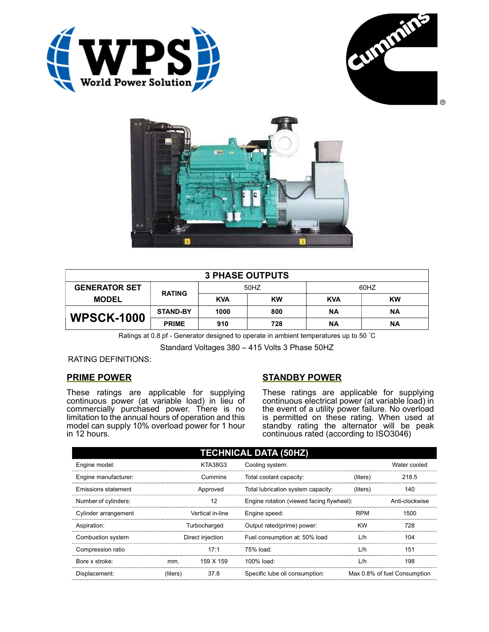





| <b>3 PHASE OUTPUTS</b> |                 |            |           |            |           |  |
|------------------------|-----------------|------------|-----------|------------|-----------|--|
| <b>GENERATOR SET</b>   | <b>RATING</b>   | 50HZ       |           | 60HZ       |           |  |
| <b>MODEL</b>           |                 | <b>KVA</b> | <b>KW</b> | <b>KVA</b> | <b>KW</b> |  |
| <b>WPSCK-1000</b>      | <b>STAND-BY</b> | 1000       | 800       | ΝA         | <b>NA</b> |  |
|                        | <b>PRIME</b>    | 910        | 728       | ΝA         | <b>NA</b> |  |

Ratings at 0.8 pf - Generator designed to operate in ambient temperatures up to 50 °C

Standard Voltages 380 – 415 Volts 3 Phase 50HZ

RATING DEFINITIONS:

# PRIME POWER

These ratings are applicable for supplying continuous power (at variable load) in lieu of commercially purchased power. There is no limitation to the annual hours of operation and this model can supply 10% overload power for 1 hour in 12 hours.

# STANDBY POWER

These ratings are applicable for supplying continuous electrical power (at variable load) in the event of a utility power failure. No overload is permitted on these rating. When used at standby rating the alternator will be peak continuous rated (according to ISO3046)

| <b>TECHNICAL DATA (50HZ)</b> |                  |                  |                                           |            |                              |
|------------------------------|------------------|------------------|-------------------------------------------|------------|------------------------------|
| Engine model:                |                  | KTA38G3          | Cooling system:                           |            | Water cooled                 |
| Engine manufacturer:         |                  | Cummins          | Total coolant capacity:                   | (liters)   | 218.5                        |
| Emissions statement          | Approved         |                  | Total lubrication system capacity:        | (liters)   | 140                          |
| Number of cylinders:         | 12               |                  | Engine rotation (viewed facing flywheel): |            | Anti-clockwise               |
| Cylinder arrangement         |                  | Vertical in-line | Engine speed:                             | <b>RPM</b> | 1500                         |
| Aspiration:                  | Turbocharged     |                  | Output rated(prime) power:                | <b>KW</b>  | 728                          |
| Combustion system            | Direct injection |                  | Fuel consumption at: 50% load             | L/h        | 104                          |
| Compression ratio            |                  | 17:1             | 75% load:                                 | L/h        | 151                          |
| Bore x stroke:               | mm.              | 159 X 159        | 100% load:                                | L/h        | 198                          |
| Displacement:                | (liters)         | 37.8             | Specific lube oil consumption:            |            | Max 0.8% of fuel Consumption |